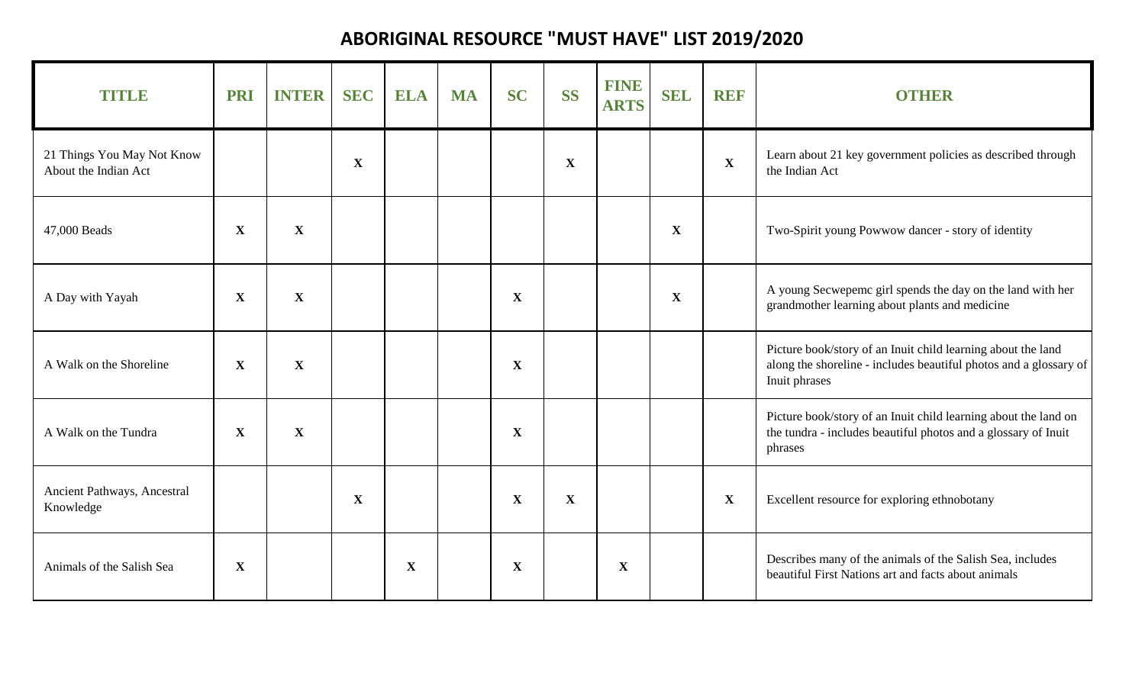## **ABORIGINAL RESOURCE "MUST HAVE" LIST 2019/2020**

| TITUD                                              | <b>PRI</b>  | <b>INTER</b> | <b>SEC</b>   | <b>ELA</b>  | <b>MA</b> | <b>SC</b>    | <b>SS</b>    | FINE<br><b>ARTS</b> | <b>SEL</b>   | REF          | <b>OTHER</b>                                                                                                                                       |
|----------------------------------------------------|-------------|--------------|--------------|-------------|-----------|--------------|--------------|---------------------|--------------|--------------|----------------------------------------------------------------------------------------------------------------------------------------------------|
| 21 Things You May Not Know<br>About the Indian Act |             |              | $\mathbf X$  |             |           |              | $\mathbf X$  |                     |              | $\mathbf{X}$ | Learn about 21 key government policies as described through<br>the Indian Act                                                                      |
| 47,000 Beads                                       | $\mathbf X$ | $\mathbf X$  |              |             |           |              |              |                     | $\mathbf X$  |              | Two-Spirit young Powwow dancer - story of identity                                                                                                 |
| A Day with Yayah                                   | $\mathbf X$ | $\mathbf X$  |              |             |           | $\mathbf X$  |              |                     | $\mathbf{X}$ |              | A young Secwepemc girl spends the day on the land with her<br>grandmother learning about plants and medicine                                       |
| A Walk on the Shoreline                            | $\mathbf X$ | $\mathbf X$  |              |             |           | $\mathbf X$  |              |                     |              |              | Picture book/story of an Inuit child learning about the land<br>along the shoreline - includes beautiful photos and a glossary of<br>Inuit phrases |
| A Walk on the Tundra                               | $\mathbf X$ | $\mathbf X$  |              |             |           | $\mathbf X$  |              |                     |              |              | Picture book/story of an Inuit child learning about the land on<br>the tundra - includes beautiful photos and a glossary of Inuit<br>phrases       |
| Ancient Pathways, Ancestral<br>Knowledge           |             |              | $\mathbf{X}$ |             |           | $\mathbf{X}$ | $\mathbf{X}$ |                     |              | $\mathbf{X}$ | Excellent resource for exploring ethnobotany                                                                                                       |
| Animals of the Salish Sea                          | $\mathbf X$ |              |              | $\mathbf X$ |           | $\mathbf X$  |              | $\mathbf X$         |              |              | Describes many of the animals of the Salish Sea, includes<br>beautiful First Nations art and facts about animals                                   |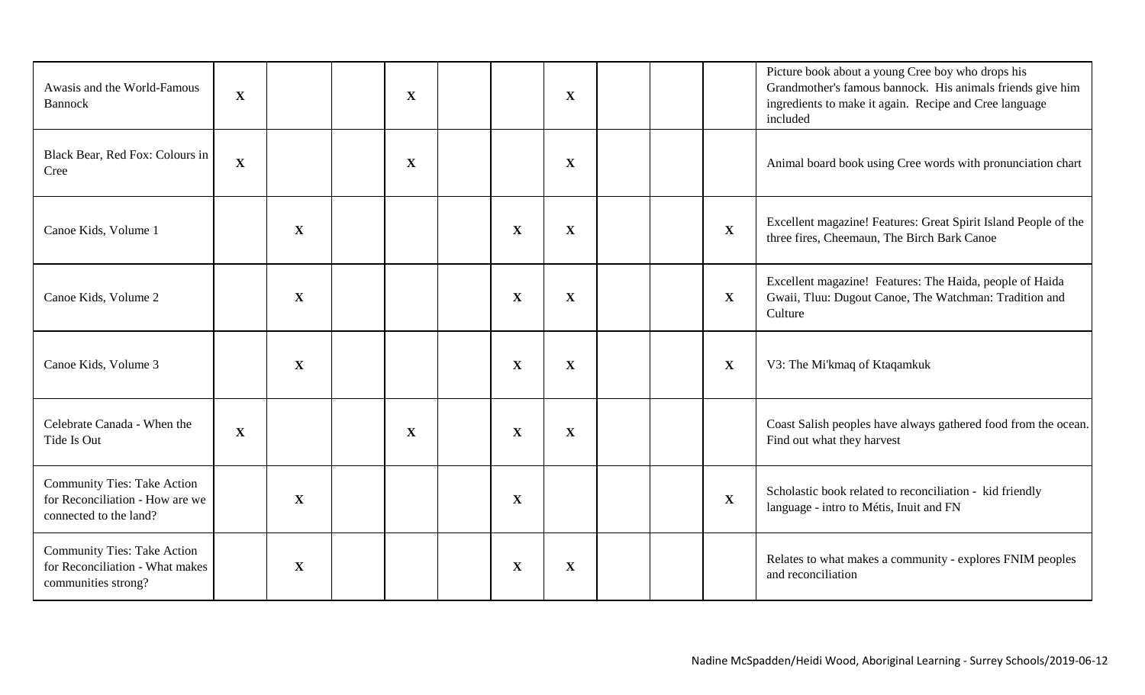| Awasis and the World-Famous<br><b>Bannock</b>                                                   | $\mathbf X$ |              | $\mathbf X$ |              | $\mathbf X$  |  |              | Picture book about a young Cree boy who drops his<br>Grandmother's famous bannock. His animals friends give him<br>ingredients to make it again. Recipe and Cree language<br>included |
|-------------------------------------------------------------------------------------------------|-------------|--------------|-------------|--------------|--------------|--|--------------|---------------------------------------------------------------------------------------------------------------------------------------------------------------------------------------|
| Black Bear, Red Fox: Colours in<br>Cree                                                         | $\mathbf X$ |              | $\mathbf X$ |              | $\mathbf X$  |  |              | Animal board book using Cree words with pronunciation chart                                                                                                                           |
| Canoe Kids, Volume 1                                                                            |             | $\mathbf{X}$ |             | $\mathbf{X}$ | $\mathbf{X}$ |  | $\mathbf{X}$ | Excellent magazine! Features: Great Spirit Island People of the<br>three fires, Cheemaun, The Birch Bark Canoe                                                                        |
| Canoe Kids, Volume 2                                                                            |             | $\mathbf X$  |             | $\mathbf X$  | $\mathbf{X}$ |  | $\mathbf{X}$ | Excellent magazine! Features: The Haida, people of Haida<br>Gwaii, Tluu: Dugout Canoe, The Watchman: Tradition and<br>Culture                                                         |
| Canoe Kids, Volume 3                                                                            |             | $\mathbf X$  |             | $\mathbf X$  | $\mathbf X$  |  | $\mathbf{X}$ | V3: The Mi'kmaq of Ktaqamkuk                                                                                                                                                          |
| Celebrate Canada - When the<br>Tide Is Out                                                      | $\mathbf X$ |              | $\mathbf X$ | $\mathbf{X}$ | $\mathbf{X}$ |  |              | Coast Salish peoples have always gathered food from the ocean.<br>Find out what they harvest                                                                                          |
| <b>Community Ties: Take Action</b><br>for Reconciliation - How are we<br>connected to the land? |             | $\mathbf{X}$ |             | $\mathbf{X}$ |              |  | $\mathbf{X}$ | Scholastic book related to reconciliation - kid friendly<br>language - intro to Métis, Inuit and FN                                                                                   |
| <b>Community Ties: Take Action</b><br>for Reconciliation - What makes<br>communities strong?    |             | $\mathbf X$  |             | $\mathbf X$  | $\mathbf{X}$ |  |              | Relates to what makes a community - explores FNIM peoples<br>and reconciliation                                                                                                       |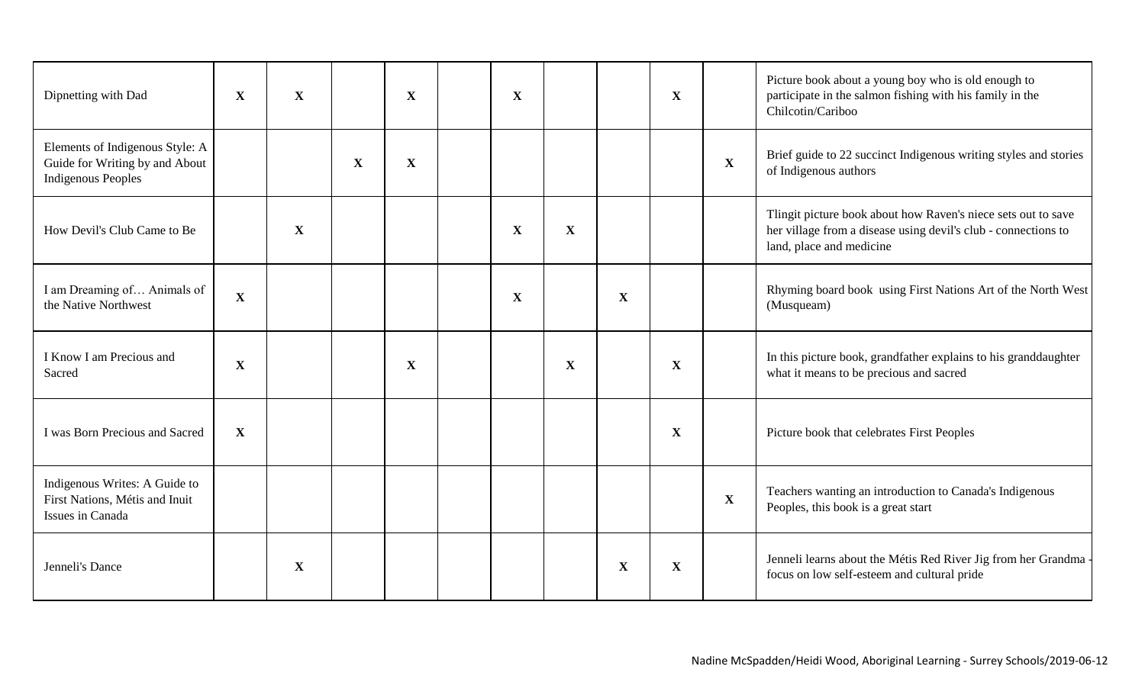| Dipnetting with Dad                                                                            | $\mathbf{X}$ | $\mathbf{X}$ |   | X           | $\mathbf X$ |   |             | $\mathbf{X}$ |             | Picture book about a young boy who is old enough to<br>participate in the salmon fishing with his family in the<br>Chilcotin/Cariboo                        |
|------------------------------------------------------------------------------------------------|--------------|--------------|---|-------------|-------------|---|-------------|--------------|-------------|-------------------------------------------------------------------------------------------------------------------------------------------------------------|
| Elements of Indigenous Style: A<br>Guide for Writing by and About<br><b>Indigenous Peoples</b> |              |              | X | $\mathbf X$ |             |   |             |              | $\mathbf X$ | Brief guide to 22 succinct Indigenous writing styles and stories<br>of Indigenous authors                                                                   |
| How Devil's Club Came to Be                                                                    |              | $\mathbf{X}$ |   |             | $\mathbf X$ | X |             |              |             | Tlingit picture book about how Raven's niece sets out to save<br>her village from a disease using devil's club - connections to<br>land, place and medicine |
| I am Dreaming of Animals of<br>the Native Northwest                                            | $\mathbf X$  |              |   |             | $\mathbf X$ |   | $\mathbf X$ |              |             | Rhyming board book using First Nations Art of the North West<br>(Musqueam)                                                                                  |
| I Know I am Precious and<br>Sacred                                                             | $\mathbf X$  |              |   | X           |             | X |             | $\mathbf X$  |             | In this picture book, grandfather explains to his granddaughter<br>what it means to be precious and sacred                                                  |
| I was Born Precious and Sacred                                                                 | $\mathbf X$  |              |   |             |             |   |             | $\mathbf X$  |             | Picture book that celebrates First Peoples                                                                                                                  |
| Indigenous Writes: A Guide to<br>First Nations, Métis and Inuit<br>Issues in Canada            |              |              |   |             |             |   |             |              | $\mathbf X$ | Teachers wanting an introduction to Canada's Indigenous<br>Peoples, this book is a great start                                                              |
| Jenneli's Dance                                                                                |              | X            |   |             |             |   | X           | X            |             | Jenneli learns about the Métis Red River Jig from her Grandma<br>focus on low self-esteem and cultural pride                                                |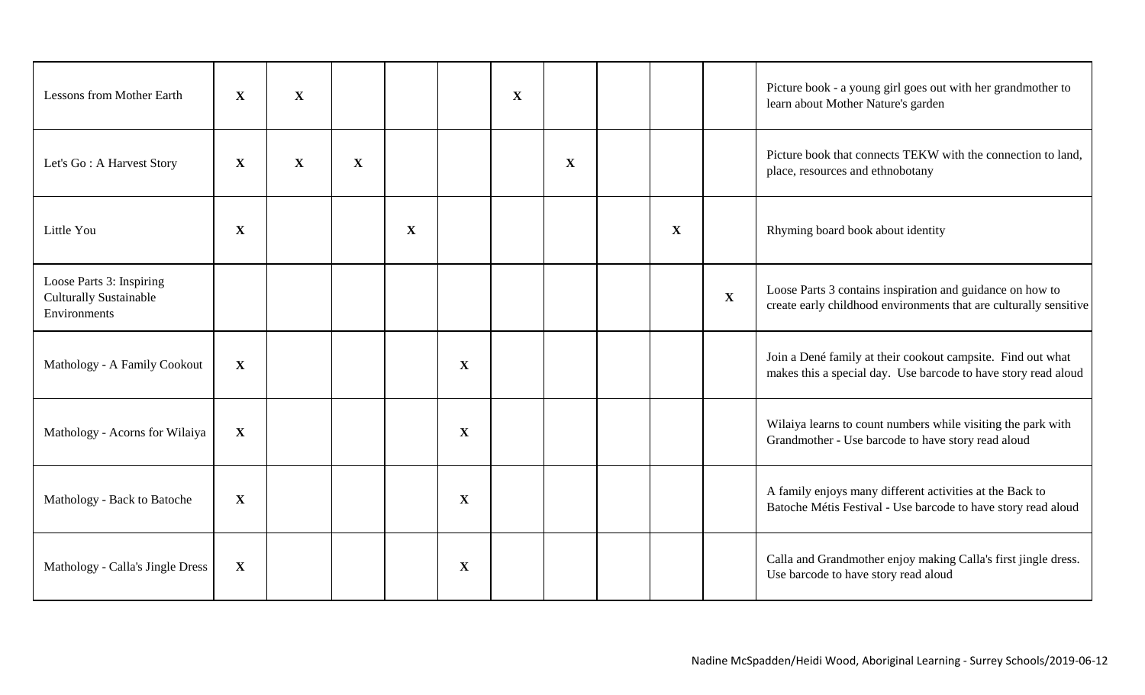| <b>Lessons from Mother Earth</b>                                          | $\mathbf X$  | $\mathbf X$ |              |              |             | $\mathbf X$ |             |              |             | Picture book - a young girl goes out with her grandmother to<br>learn about Mother Nature's garden                             |
|---------------------------------------------------------------------------|--------------|-------------|--------------|--------------|-------------|-------------|-------------|--------------|-------------|--------------------------------------------------------------------------------------------------------------------------------|
| Let's Go: A Harvest Story                                                 | X            | $\mathbf X$ | $\mathbf{X}$ |              |             |             | $\mathbf X$ |              |             | Picture book that connects TEKW with the connection to land,<br>place, resources and ethnobotany                               |
| Little You                                                                | X            |             |              | $\mathbf{X}$ |             |             |             | $\mathbf{X}$ |             | Rhyming board book about identity                                                                                              |
| Loose Parts 3: Inspiring<br><b>Culturally Sustainable</b><br>Environments |              |             |              |              |             |             |             |              | $\mathbf X$ | Loose Parts 3 contains inspiration and guidance on how to<br>create early childhood environments that are culturally sensitive |
| Mathology - A Family Cookout                                              | $\mathbf X$  |             |              |              | $\mathbf X$ |             |             |              |             | Join a Dené family at their cookout campsite. Find out what<br>makes this a special day. Use barcode to have story read aloud  |
| Mathology - Acorns for Wilaiya                                            | $\mathbf X$  |             |              |              | $\mathbf X$ |             |             |              |             | Wilaiya learns to count numbers while visiting the park with<br>Grandmother - Use barcode to have story read aloud             |
| Mathology - Back to Batoche                                               | $\mathbf X$  |             |              |              | $\mathbf X$ |             |             |              |             | A family enjoys many different activities at the Back to<br>Batoche Métis Festival - Use barcode to have story read aloud      |
| Mathology - Calla's Jingle Dress                                          | $\mathbf{X}$ |             |              |              | $\mathbf X$ |             |             |              |             | Calla and Grandmother enjoy making Calla's first jingle dress.<br>Use barcode to have story read aloud                         |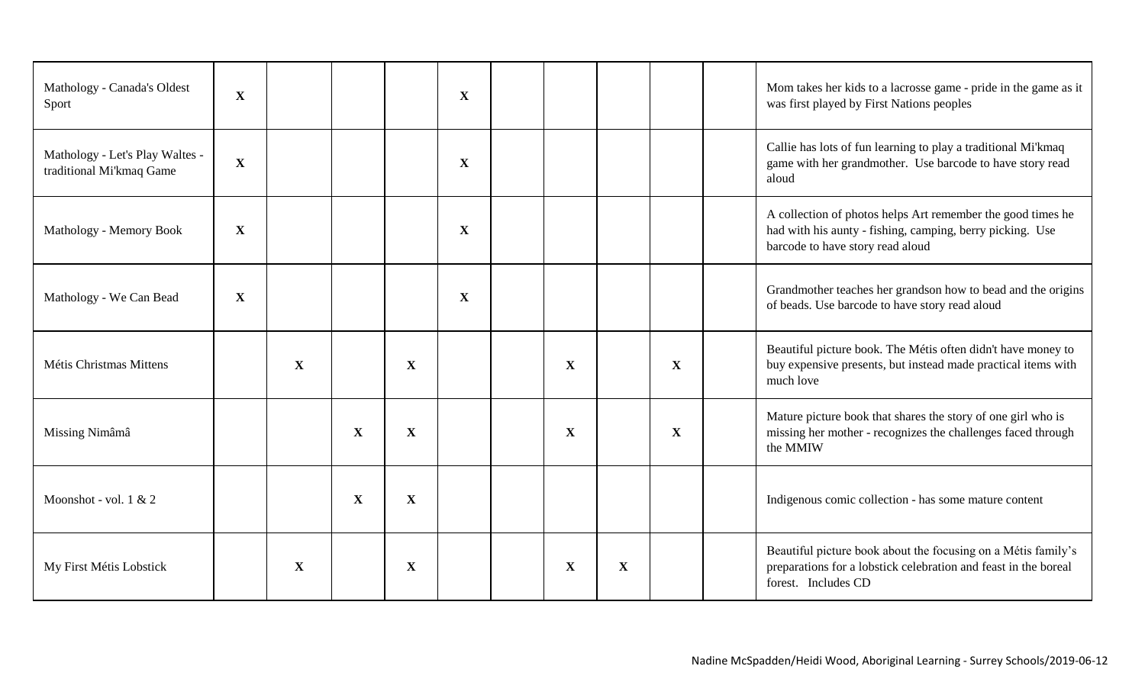| Mathology - Canada's Oldest<br>Sport                        | X           |   |             |             | $\mathbf X$  |             |   |             | Mom takes her kids to a lacrosse game - pride in the game as it<br>was first played by First Nations peoples                                                 |
|-------------------------------------------------------------|-------------|---|-------------|-------------|--------------|-------------|---|-------------|--------------------------------------------------------------------------------------------------------------------------------------------------------------|
| Mathology - Let's Play Waltes -<br>traditional Mi'kmaq Game | $\mathbf X$ |   |             |             | $\mathbf X$  |             |   |             | Callie has lots of fun learning to play a traditional Mi'kmaq<br>game with her grandmother. Use barcode to have story read<br>aloud                          |
| Mathology - Memory Book                                     | X           |   |             |             | $\mathbf X$  |             |   |             | A collection of photos helps Art remember the good times he<br>had with his aunty - fishing, camping, berry picking. Use<br>barcode to have story read aloud |
| Mathology - We Can Bead                                     | $\mathbf X$ |   |             |             | $\mathbf{X}$ |             |   |             | Grandmother teaches her grandson how to bead and the origins<br>of beads. Use barcode to have story read aloud                                               |
| Métis Christmas Mittens                                     |             | X |             | $\mathbf X$ |              | X           |   | X           | Beautiful picture book. The Métis often didn't have money to<br>buy expensive presents, but instead made practical items with<br>much love                   |
| Missing Nimâmâ                                              |             |   | $\mathbf X$ | $\mathbf X$ |              | $\mathbf X$ |   | $\mathbf X$ | Mature picture book that shares the story of one girl who is<br>missing her mother - recognizes the challenges faced through<br>the MMIW                     |
| Moonshot - vol. 1 & 2                                       |             |   | $\mathbf X$ | $\mathbf X$ |              |             |   |             | Indigenous comic collection - has some mature content                                                                                                        |
| My First Métis Lobstick                                     |             | X |             | $\mathbf X$ |              | X           | X |             | Beautiful picture book about the focusing on a Métis family's<br>preparations for a lobstick celebration and feast in the boreal<br>forest. Includes CD      |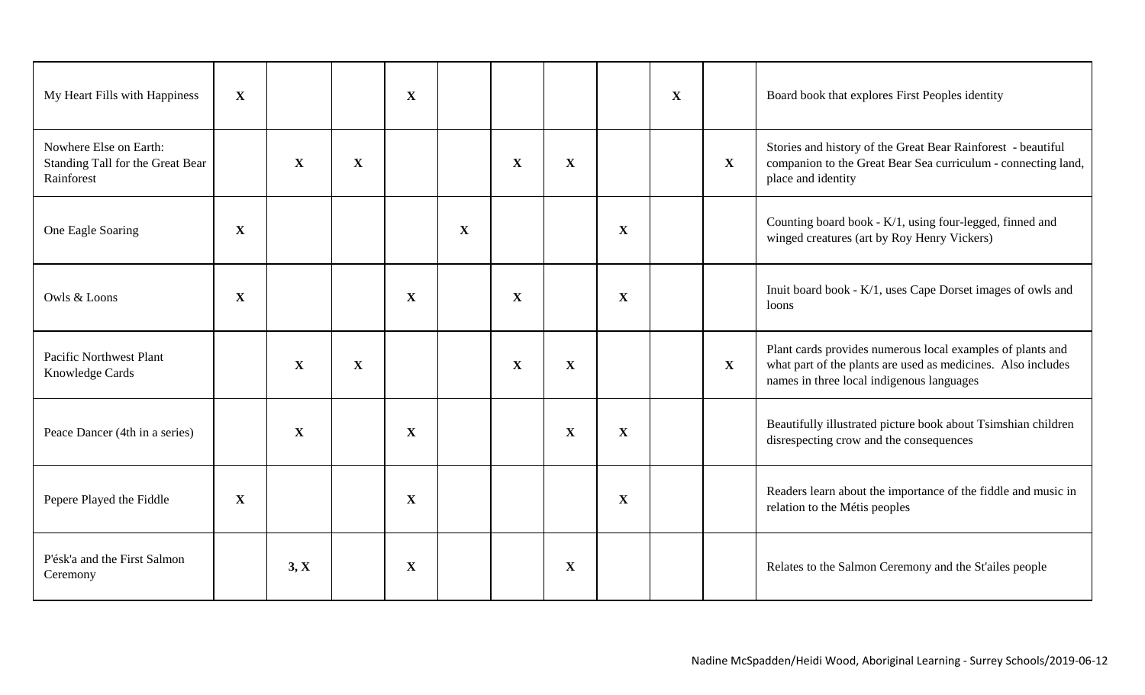| My Heart Fills with Happiness                                            | X           |             |             | $\mathbf X$ |             |              |              |              | $\mathbf{X}$ |              | Board book that explores First Peoples identity                                                                                                                         |
|--------------------------------------------------------------------------|-------------|-------------|-------------|-------------|-------------|--------------|--------------|--------------|--------------|--------------|-------------------------------------------------------------------------------------------------------------------------------------------------------------------------|
| Nowhere Else on Earth:<br>Standing Tall for the Great Bear<br>Rainforest |             | $\mathbf X$ | X           |             |             | $\mathbf{X}$ | $\mathbf{X}$ |              |              | $\mathbf{X}$ | Stories and history of the Great Bear Rainforest - beautiful<br>companion to the Great Bear Sea curriculum - connecting land,<br>place and identity                     |
| One Eagle Soaring                                                        | $\mathbf X$ |             |             |             | $\mathbf X$ |              |              | $\mathbf{X}$ |              |              | Counting board book - K/1, using four-legged, finned and<br>winged creatures (art by Roy Henry Vickers)                                                                 |
| Owls & Loons                                                             | X           |             |             | $\mathbf X$ |             | $\mathbf{X}$ |              | $\mathbf{X}$ |              |              | Inuit board book - K/1, uses Cape Dorset images of owls and<br>loons                                                                                                    |
| <b>Pacific Northwest Plant</b><br>Knowledge Cards                        |             | $\mathbf X$ | $\mathbf X$ |             |             | $\mathbf{X}$ | $\mathbf{X}$ |              |              | $\mathbf{X}$ | Plant cards provides numerous local examples of plants and<br>what part of the plants are used as medicines. Also includes<br>names in three local indigenous languages |
| Peace Dancer (4th in a series)                                           |             | X           |             | $\mathbf X$ |             |              | $\mathbf{X}$ | X            |              |              | Beautifully illustrated picture book about Tsimshian children<br>disrespecting crow and the consequences                                                                |
| Pepere Played the Fiddle                                                 | $\mathbf X$ |             |             | $\mathbf X$ |             |              |              | $\mathbf{X}$ |              |              | Readers learn about the importance of the fiddle and music in<br>relation to the Métis peoples                                                                          |
| P'ésk'a and the First Salmon<br>Ceremony                                 |             | 3, X        |             | X           |             |              | X            |              |              |              | Relates to the Salmon Ceremony and the St'ailes people                                                                                                                  |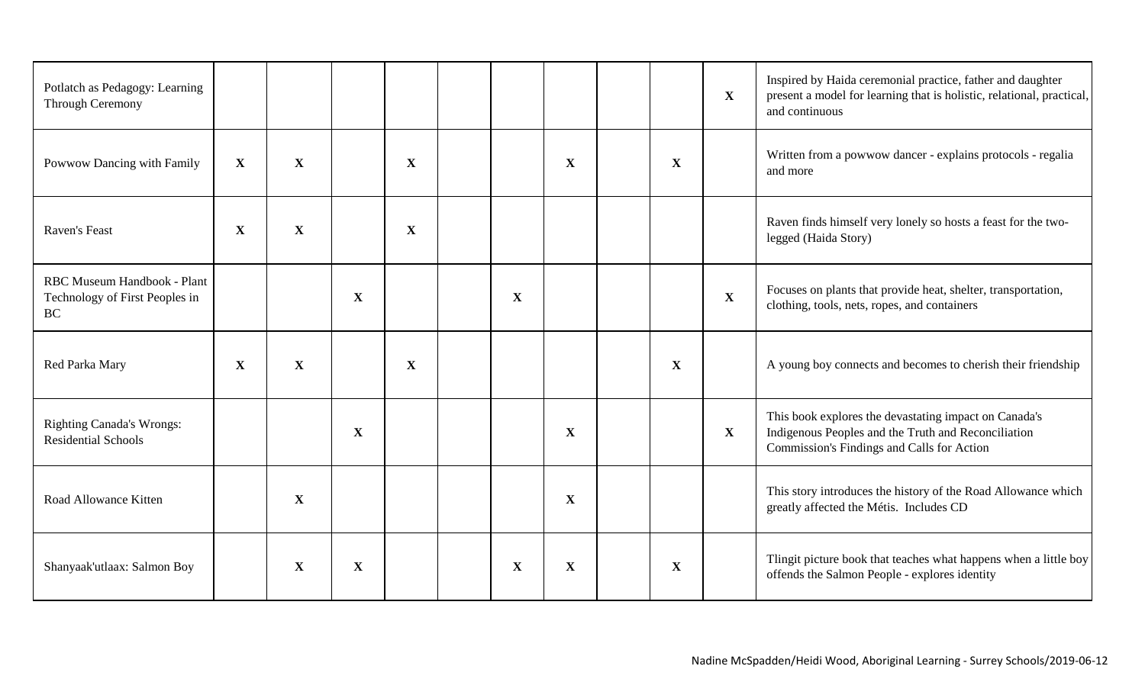| Potlatch as Pedagogy: Learning<br><b>Through Ceremony</b>                  |             |              |             |             |              |              |             | $\mathbf{X}$ | Inspired by Haida ceremonial practice, father and daughter<br>present a model for learning that is holistic, relational, practical,<br>and continuous      |
|----------------------------------------------------------------------------|-------------|--------------|-------------|-------------|--------------|--------------|-------------|--------------|------------------------------------------------------------------------------------------------------------------------------------------------------------|
| Powwow Dancing with Family                                                 | $\mathbf X$ | $\mathbf{X}$ |             | $\mathbf X$ |              | X            | X           |              | Written from a powwow dancer - explains protocols - regalia<br>and more                                                                                    |
| Raven's Feast                                                              | $\mathbf X$ | $\mathbf X$  |             | $\mathbf X$ |              |              |             |              | Raven finds himself very lonely so hosts a feast for the two-<br>legged (Haida Story)                                                                      |
| RBC Museum Handbook - Plant<br>Technology of First Peoples in<br><b>BC</b> |             |              | $\mathbf X$ |             | $\mathbf{X}$ |              |             | $\mathbf{X}$ | Focuses on plants that provide heat, shelter, transportation,<br>clothing, tools, nets, ropes, and containers                                              |
| Red Parka Mary                                                             | X           | $\mathbf{X}$ |             | X           |              |              | $\mathbf X$ |              | A young boy connects and becomes to cherish their friendship                                                                                               |
| <b>Righting Canada's Wrongs:</b><br><b>Residential Schools</b>             |             |              | $\mathbf X$ |             |              | $\mathbf X$  |             | $\mathbf{X}$ | This book explores the devastating impact on Canada's<br>Indigenous Peoples and the Truth and Reconciliation<br>Commission's Findings and Calls for Action |
| Road Allowance Kitten                                                      |             | $\mathbf{X}$ |             |             |              | $\mathbf{X}$ |             |              | This story introduces the history of the Road Allowance which<br>greatly affected the Métis. Includes CD                                                   |
| Shanyaak'utlaax: Salmon Boy                                                |             | X            | $\mathbf X$ |             | $\mathbf X$  | $\mathbf X$  | $\mathbf X$ |              | Tlingit picture book that teaches what happens when a little boy<br>offends the Salmon People - explores identity                                          |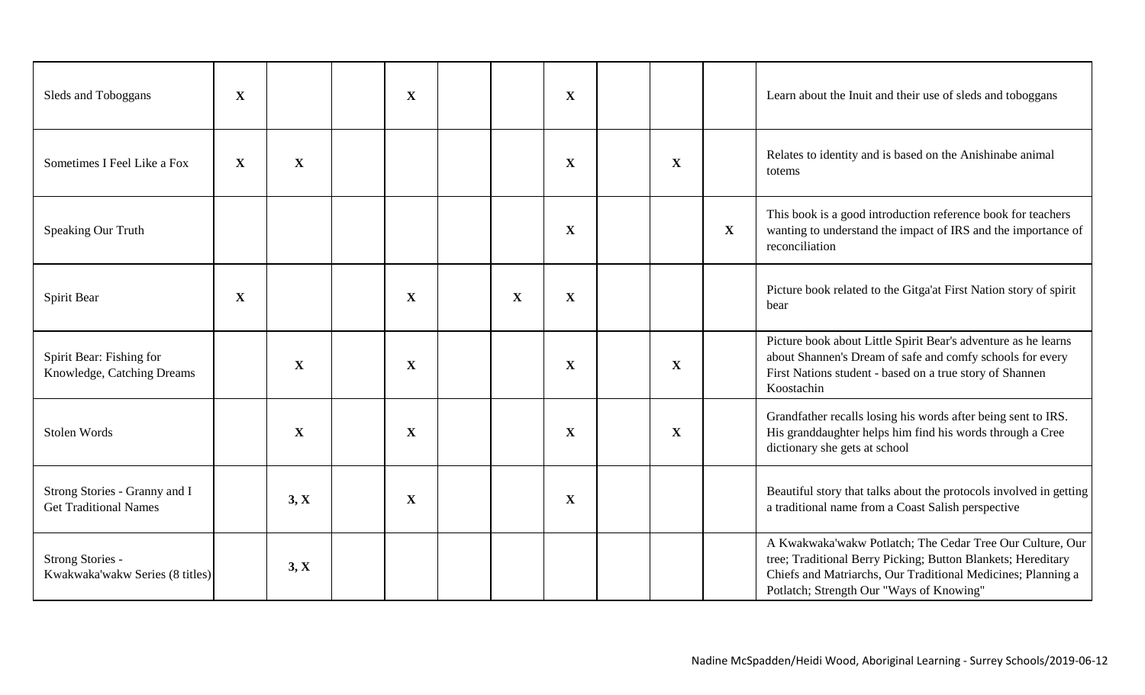| Sleds and Toboggans                                           | $\mathbf X$ |             | $\mathbf X$ |             | $\mathbf X$ |             |              | Learn about the Inuit and their use of sleds and toboggans                                                                                                                                                                            |
|---------------------------------------------------------------|-------------|-------------|-------------|-------------|-------------|-------------|--------------|---------------------------------------------------------------------------------------------------------------------------------------------------------------------------------------------------------------------------------------|
| Sometimes I Feel Like a Fox                                   | $\mathbf X$ | $\mathbf X$ |             |             | $\mathbf X$ | $\mathbf X$ |              | Relates to identity and is based on the Anishinabe animal<br>totems                                                                                                                                                                   |
| Speaking Our Truth                                            |             |             |             |             | X           |             | $\mathbf{X}$ | This book is a good introduction reference book for teachers<br>wanting to understand the impact of IRS and the importance of<br>reconciliation                                                                                       |
| Spirit Bear                                                   | $\mathbf X$ |             | $\mathbf X$ | $\mathbf X$ | X           |             |              | Picture book related to the Gitga'at First Nation story of spirit<br>bear                                                                                                                                                             |
| Spirit Bear: Fishing for<br>Knowledge, Catching Dreams        |             | X           | $\mathbf X$ |             | $\mathbf X$ | $\mathbf X$ |              | Picture book about Little Spirit Bear's adventure as he learns<br>about Shannen's Dream of safe and comfy schools for every<br>First Nations student - based on a true story of Shannen<br>Koostachin                                 |
| Stolen Words                                                  |             | $\mathbf X$ | X           |             | X           | $\mathbf X$ |              | Grandfather recalls losing his words after being sent to IRS.<br>His granddaughter helps him find his words through a Cree<br>dictionary she gets at school                                                                           |
| Strong Stories - Granny and I<br><b>Get Traditional Names</b> |             | 3, X        | $\mathbf X$ |             | X           |             |              | Beautiful story that talks about the protocols involved in getting<br>a traditional name from a Coast Salish perspective                                                                                                              |
| Strong Stories -<br>Kwakwaka'wakw Series (8 titles)           |             | 3, X        |             |             |             |             |              | A Kwakwaka'wakw Potlatch; The Cedar Tree Our Culture, Our<br>tree; Traditional Berry Picking; Button Blankets; Hereditary<br>Chiefs and Matriarchs, Our Traditional Medicines; Planning a<br>Potlatch; Strength Our "Ways of Knowing" |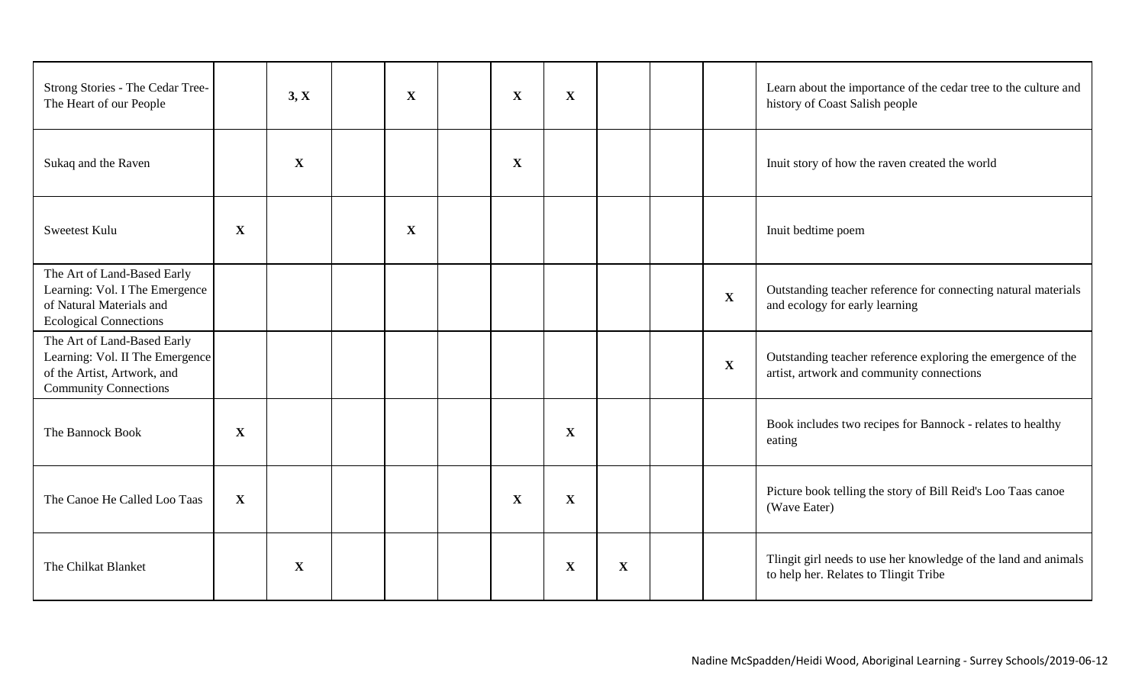| Strong Stories - The Cedar Tree-<br>The Heart of our People                                                                   |             | 3, X        | $\mathbf X$ | $\mathbf X$ | $\mathbf{X}$ |             |              | Learn about the importance of the cedar tree to the culture and<br>history of Coast Salish people         |
|-------------------------------------------------------------------------------------------------------------------------------|-------------|-------------|-------------|-------------|--------------|-------------|--------------|-----------------------------------------------------------------------------------------------------------|
| Sukaq and the Raven                                                                                                           |             | $\mathbf X$ |             | $\mathbf X$ |              |             |              | Inuit story of how the raven created the world                                                            |
| Sweetest Kulu                                                                                                                 | $\mathbf X$ |             | $\mathbf X$ |             |              |             |              | Inuit bedtime poem                                                                                        |
| The Art of Land-Based Early<br>Learning: Vol. I The Emergence<br>of Natural Materials and<br><b>Ecological Connections</b>    |             |             |             |             |              |             | $\mathbf X$  | Outstanding teacher reference for connecting natural materials<br>and ecology for early learning          |
| The Art of Land-Based Early<br>Learning: Vol. II The Emergence<br>of the Artist, Artwork, and<br><b>Community Connections</b> |             |             |             |             |              |             | $\mathbf{X}$ | Outstanding teacher reference exploring the emergence of the<br>artist, artwork and community connections |
| The Bannock Book                                                                                                              | $\mathbf X$ |             |             |             | $\mathbf X$  |             |              | Book includes two recipes for Bannock - relates to healthy<br>eating                                      |
| The Canoe He Called Loo Taas                                                                                                  | $\mathbf X$ |             |             | $\mathbf X$ | $\mathbf{X}$ |             |              | Picture book telling the story of Bill Reid's Loo Taas canoe<br>(Wave Eater)                              |
| The Chilkat Blanket                                                                                                           |             | $\mathbf X$ |             |             | $\mathbf X$  | $\mathbf X$ |              | Tlingit girl needs to use her knowledge of the land and animals<br>to help her. Relates to Tlingit Tribe  |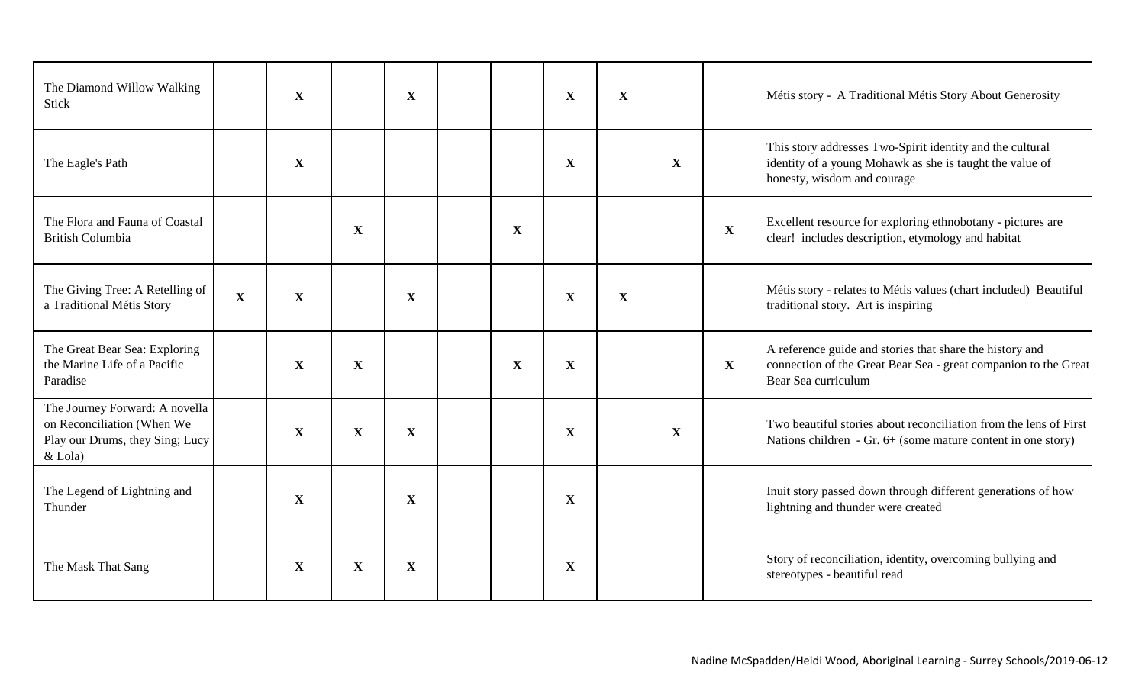| The Diamond Willow Walking<br><b>Stick</b>                                                                   |             | $\mathbf{X}$ |              | $\mathbf{X}$ |             | X            | $\mathbf{X}$ |              |              | Métis story - A Traditional Métis Story About Generosity                                                                                             |
|--------------------------------------------------------------------------------------------------------------|-------------|--------------|--------------|--------------|-------------|--------------|--------------|--------------|--------------|------------------------------------------------------------------------------------------------------------------------------------------------------|
| The Eagle's Path                                                                                             |             | X            |              |              |             | X            |              | X            |              | This story addresses Two-Spirit identity and the cultural<br>identity of a young Mohawk as she is taught the value of<br>honesty, wisdom and courage |
| The Flora and Fauna of Coastal<br><b>British Columbia</b>                                                    |             |              | $\mathbf X$  |              | $\mathbf X$ |              |              |              | $\mathbf{X}$ | Excellent resource for exploring ethnobotany - pictures are<br>clear! includes description, etymology and habitat                                    |
| The Giving Tree: A Retelling of<br>a Traditional Métis Story                                                 | $\mathbf X$ | $\mathbf X$  |              | $\mathbf{X}$ |             | $\mathbf X$  | X            |              |              | Métis story - relates to Métis values (chart included) Beautiful<br>traditional story. Art is inspiring                                              |
| The Great Bear Sea: Exploring<br>the Marine Life of a Pacific<br>Paradise                                    |             | X            | $\mathbf{X}$ |              | $\mathbf X$ | X            |              |              | $\mathbf{X}$ | A reference guide and stories that share the history and<br>connection of the Great Bear Sea - great companion to the Great<br>Bear Sea curriculum   |
| The Journey Forward: A novella<br>on Reconciliation (When We<br>Play our Drums, they Sing; Lucy<br>$&$ Lola) |             | $\mathbf X$  | $\mathbf{X}$ | $\mathbf{X}$ |             | $\mathbf{X}$ |              | $\mathbf{X}$ |              | Two beautiful stories about reconciliation from the lens of First<br>Nations children $-$ Gr. 6+ (some mature content in one story)                  |
| The Legend of Lightning and<br>Thunder                                                                       |             | $\mathbf X$  |              | X            |             | $\mathbf{X}$ |              |              |              | Inuit story passed down through different generations of how<br>lightning and thunder were created                                                   |
| The Mask That Sang                                                                                           |             | $\mathbf X$  | X            | $\mathbf X$  |             | $\mathbf{X}$ |              |              |              | Story of reconciliation, identity, overcoming bullying and<br>stereotypes - beautiful read                                                           |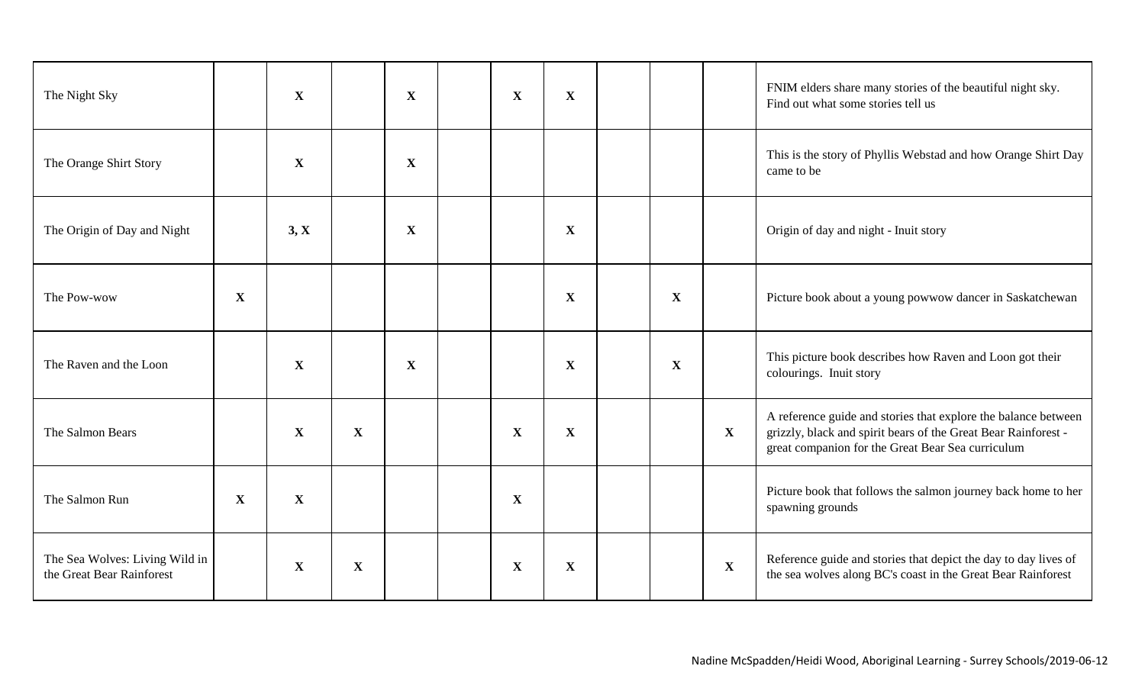| The Night Sky                                               |             | $\mathbf X$  |              | $\mathbf X$ | $\mathbf X$  | $\mathbf X$  |              |              | FNIM elders share many stories of the beautiful night sky.<br>Find out what some stories tell us                                                                                      |
|-------------------------------------------------------------|-------------|--------------|--------------|-------------|--------------|--------------|--------------|--------------|---------------------------------------------------------------------------------------------------------------------------------------------------------------------------------------|
| The Orange Shirt Story                                      |             | $\mathbf X$  |              | X           |              |              |              |              | This is the story of Phyllis Webstad and how Orange Shirt Day<br>came to be                                                                                                           |
| The Origin of Day and Night                                 |             | 3, X         |              | $\mathbf X$ |              | $\mathbf{X}$ |              |              | Origin of day and night - Inuit story                                                                                                                                                 |
| The Pow-wow                                                 | $\mathbf X$ |              |              |             |              | X            | $\mathbf{X}$ |              | Picture book about a young powwow dancer in Saskatchewan                                                                                                                              |
| The Raven and the Loon                                      |             | $\mathbf X$  |              | X           |              | X            | $\mathbf X$  |              | This picture book describes how Raven and Loon got their<br>colourings. Inuit story                                                                                                   |
| The Salmon Bears                                            |             | $\mathbf X$  | $\mathbf{X}$ |             | $\mathbf X$  | $\mathbf{X}$ |              | $\mathbf{X}$ | A reference guide and stories that explore the balance between<br>grizzly, black and spirit bears of the Great Bear Rainforest -<br>great companion for the Great Bear Sea curriculum |
| The Salmon Run                                              | X           | $\mathbf{X}$ |              |             | $\mathbf{X}$ |              |              |              | Picture book that follows the salmon journey back home to her<br>spawning grounds                                                                                                     |
| The Sea Wolves: Living Wild in<br>the Great Bear Rainforest |             | $\mathbf X$  | $\mathbf X$  |             | $\mathbf X$  | $\mathbf{X}$ |              | $\mathbf{X}$ | Reference guide and stories that depict the day to day lives of<br>the sea wolves along BC's coast in the Great Bear Rainforest                                                       |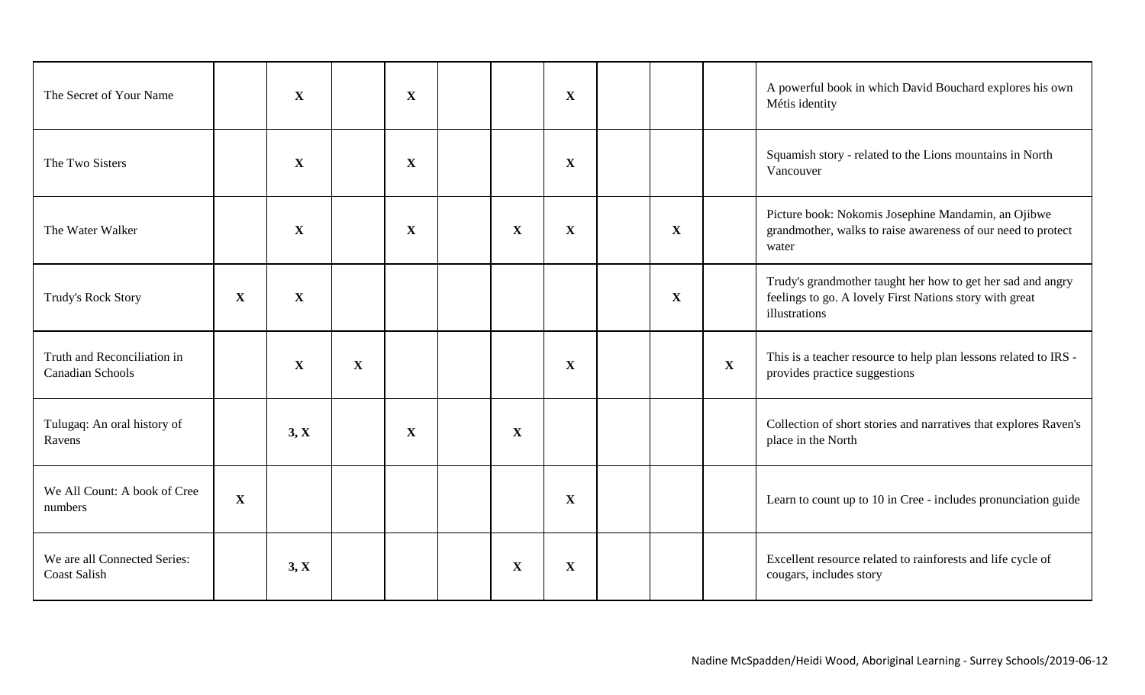| The Secret of Your Name                                |             | $\mathbf{X}$ |   | $\mathbf{X}$ |             | $\mathbf X$  |              |              | A powerful book in which David Bouchard explores his own<br>Métis identity                                                              |
|--------------------------------------------------------|-------------|--------------|---|--------------|-------------|--------------|--------------|--------------|-----------------------------------------------------------------------------------------------------------------------------------------|
| The Two Sisters                                        |             | $\mathbf{X}$ |   | X            |             | X            |              |              | Squamish story - related to the Lions mountains in North<br>Vancouver                                                                   |
| The Water Walker                                       |             | $\mathbf X$  |   | $\mathbf X$  | $\mathbf X$ | $\mathbf{X}$ | $\mathbf X$  |              | Picture book: Nokomis Josephine Mandamin, an Ojibwe<br>grandmother, walks to raise awareness of our need to protect<br>water            |
| <b>Trudy's Rock Story</b>                              | $\mathbf X$ | $\mathbf X$  |   |              |             |              | $\mathbf{X}$ |              | Trudy's grandmother taught her how to get her sad and angry<br>feelings to go. A lovely First Nations story with great<br>illustrations |
| Truth and Reconciliation in<br><b>Canadian Schools</b> |             | $\mathbf{X}$ | X |              |             | X            |              | $\mathbf{X}$ | This is a teacher resource to help plan lessons related to IRS -<br>provides practice suggestions                                       |
| Tulugaq: An oral history of<br>Ravens                  |             | 3, X         |   | $\mathbf X$  | $\mathbf X$ |              |              |              | Collection of short stories and narratives that explores Raven's<br>place in the North                                                  |
| We All Count: A book of Cree<br>numbers                | $\mathbf X$ |              |   |              |             | X            |              |              | Learn to count up to 10 in Cree - includes pronunciation guide                                                                          |
| We are all Connected Series:<br><b>Coast Salish</b>    |             | 3, X         |   |              | $\mathbf X$ | $\mathbf{X}$ |              |              | Excellent resource related to rainforests and life cycle of<br>cougars, includes story                                                  |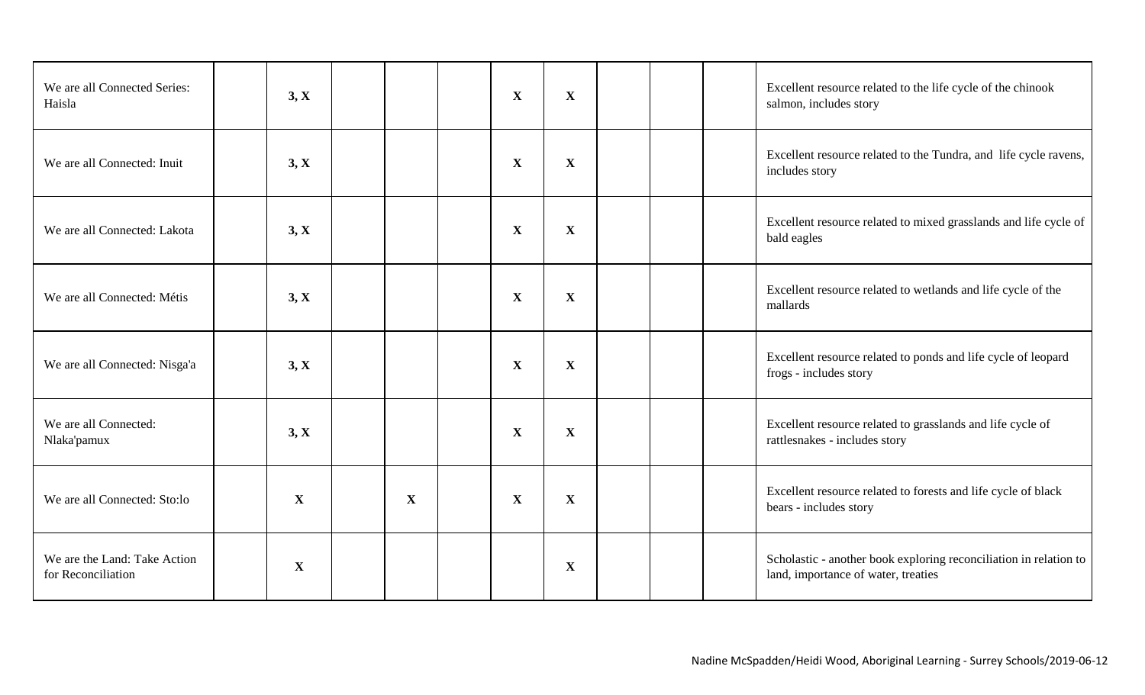| We are all Connected Series:<br>Haisla             | 3, X        |              | X            | X            |  | Excellent resource related to the life cycle of the chinook<br>salmon, includes story                    |
|----------------------------------------------------|-------------|--------------|--------------|--------------|--|----------------------------------------------------------------------------------------------------------|
| We are all Connected: Inuit                        | 3, X        |              | $\mathbf X$  | X            |  | Excellent resource related to the Tundra, and life cycle ravens,<br>includes story                       |
| We are all Connected: Lakota                       | 3, X        |              | $\mathbf{X}$ | $\mathbf{X}$ |  | Excellent resource related to mixed grasslands and life cycle of<br>bald eagles                          |
| We are all Connected: Métis                        | 3, X        |              | $\mathbf X$  | $\mathbf{X}$ |  | Excellent resource related to wetlands and life cycle of the<br>mallards                                 |
| We are all Connected: Nisga'a                      | 3, X        |              | X            | X            |  | Excellent resource related to ponds and life cycle of leopard<br>frogs - includes story                  |
| We are all Connected:<br>Nlaka'pamux               | 3, X        |              | X            | $\mathbf{X}$ |  | Excellent resource related to grasslands and life cycle of<br>rattlesnakes - includes story              |
| We are all Connected: Sto:lo                       | $\mathbf X$ | $\mathbf{X}$ | $\mathbf X$  | X            |  | Excellent resource related to forests and life cycle of black<br>bears - includes story                  |
| We are the Land: Take Action<br>for Reconciliation | $\mathbf X$ |              |              | X            |  | Scholastic - another book exploring reconciliation in relation to<br>land, importance of water, treaties |